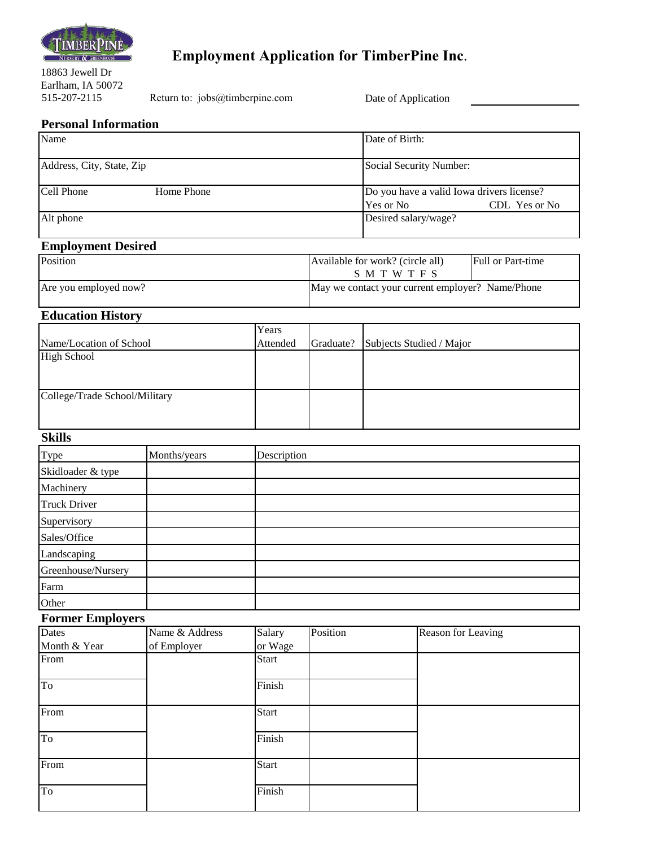

# **Employment Application for TimberPine Inc**.

18863 Jewell Dr Earlham, IA 50072

Return to: jobs@timberpine.com

Date of Application

#### **Personal Information**

| Name                      |            | Date of Birth:                                                            |
|---------------------------|------------|---------------------------------------------------------------------------|
| Address, City, State, Zip |            | Social Security Number:                                                   |
| Cell Phone                | Home Phone | Do you have a valid Iowa drivers license?<br>$CDL$ Yes or No<br>Yes or No |
| Alt phone                 |            | Desired salary/wage?                                                      |

## **Employment Desired**

| <b>Position</b>       | Available for work? (circle all)<br>SMTWTFS      | <b>Full or Part-time</b> |
|-----------------------|--------------------------------------------------|--------------------------|
| Are you employed now? | May we contact your current employer? Name/Phone |                          |

#### **Education History**

|                               | Years    |           |                          |
|-------------------------------|----------|-----------|--------------------------|
| Name/Location of School       | Attended | Graduate? | Subjects Studied / Major |
| <b>High School</b>            |          |           |                          |
|                               |          |           |                          |
|                               |          |           |                          |
| College/Trade School/Military |          |           |                          |
|                               |          |           |                          |
|                               |          |           |                          |

#### **Skills**

| Type                | Months/years | Description |
|---------------------|--------------|-------------|
| Skidloader & type   |              |             |
| Machinery           |              |             |
| <b>Truck Driver</b> |              |             |
| Supervisory         |              |             |
| Sales/Office        |              |             |
| Landscaping         |              |             |
| Greenhouse/Nursery  |              |             |
| Farm                |              |             |
| Other               |              |             |

#### **Former Employers**

| Dates        | Name & Address | Salary       | Position | Reason for Leaving |
|--------------|----------------|--------------|----------|--------------------|
| Month & Year | of Employer    | or Wage      |          |                    |
| From         |                | <b>Start</b> |          |                    |
|              |                |              |          |                    |
| To           |                | Finish       |          |                    |
| From         |                | <b>Start</b> |          |                    |
|              |                |              |          |                    |
| To           |                | Finish       |          |                    |
|              |                |              |          |                    |
| From         |                | Start        |          |                    |
|              |                |              |          |                    |
| To           |                | Finish       |          |                    |
|              |                |              |          |                    |